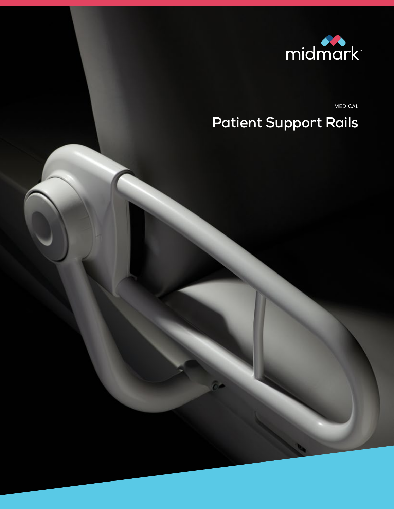

MEDICAL

# **Patient Support Rails**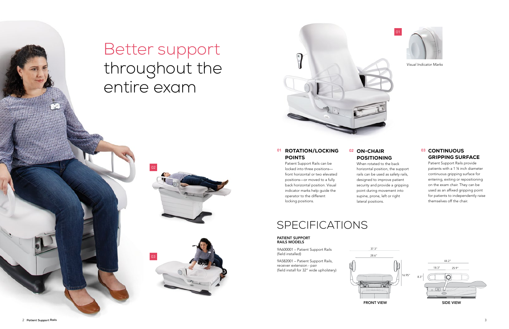

01





## POSITIONING

## 03 CONTINUOUS GRIPPING SURFACE

## When rotated to the back horizontal position, the support rails can be used as safety rails, designed to improve patient security and provide a gripping point during movement into supine, prone, left or right

lateral positions.

## 01 ROTATION/LOCKING POINTS

Patient Support Rails provide patients with a 1 ¼ inch diameter continuous gripping surface for entering, exiting or repositioning on the exam chair. They can be used as an affixed gripping point for patients to independently raise themselves off the chair.

Patient Support Rails can be locked into three positions front horizontal or two elevated positions—or moved to a fully back horizontal position. Visual indicator marks help guide the operator to the different locking positions.

# Better support throughout the entire exam

02

03



*Visual Indicator Marks*

9A600001 – Patient Support Rails (field installed)

9A582001 – Patient Support Rails, receiver extension - pair (field install for 32" wide upholstery)

# SPECIFICATIONS

### PATIENT SUPPORT RAILS MODELS

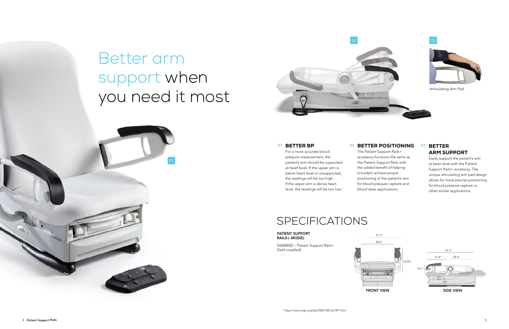# Better arm support when you need it most

9A600002 – Patient Support Rails+ (field installed)

#### PATIENT SUPPORT RAILS+ MODEL

SPECIFICATIONS

For a more accurate blood pressure measurement, the patient's arm should be supported at heart level. If the upper arm is below heart level or unsupported, the readings will be too high. If the upper arm is above heart level, the readings will be too low.<sup>1</sup>



## 01 BETTER POSITIONING 02 03 BETTER

The Patient Support Rails+ accessory functions the same as the Patient Support Rails with the added benefit of helping providers achieve proper positioning of the patient's arm for blood pressure capture and blood draw applications.

# ARM SUPPORT

Easily support the patient's arm at heart level with the Patient Support Rails+ accessory. The unique articulating arm pad design allows for more precise positioning for blood pressure capture or other similar applications.



## 01 BETTER BP